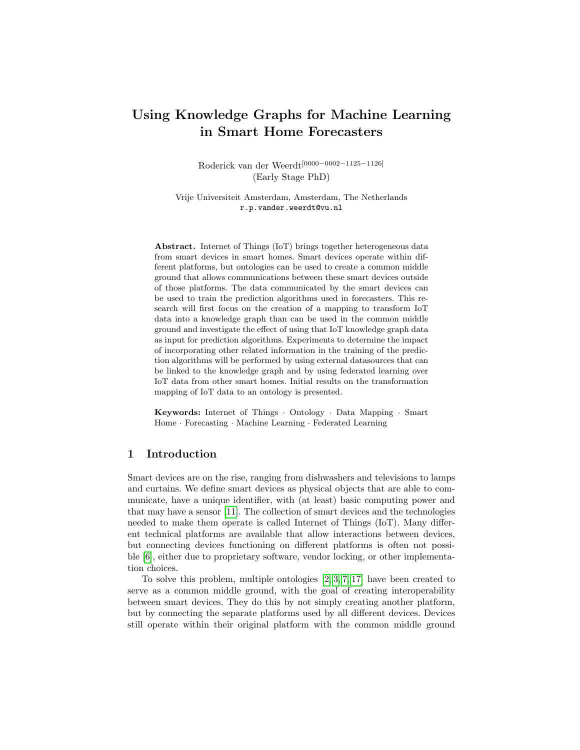# Using Knowledge Graphs for Machine Learning in Smart Home Forecasters

Roderick van der Weerdt[0000−0002−1125−1126] (Early Stage PhD)

Vrije Universiteit Amsterdam, Amsterdam, The Netherlands r.p.vander.weerdt@vu.nl

Abstract. Internet of Things (IoT) brings together heterogeneous data from smart devices in smart homes. Smart devices operate within different platforms, but ontologies can be used to create a common middle ground that allows communications between these smart devices outside of those platforms. The data communicated by the smart devices can be used to train the prediction algorithms used in forecasters. This research will first focus on the creation of a mapping to transform IoT data into a knowledge graph than can be used in the common middle ground and investigate the effect of using that IoT knowledge graph data as input for prediction algorithms. Experiments to determine the impact of incorporating other related information in the training of the prediction algorithms will be performed by using external datasources that can be linked to the knowledge graph and by using federated learning over IoT data from other smart homes. Initial results on the transformation mapping of IoT data to an ontology is presented.

Keywords: Internet of Things · Ontology · Data Mapping · Smart Home · Forecasting · Machine Learning · Federated Learning

## 1 Introduction

Smart devices are on the rise, ranging from dishwashers and televisions to lamps and curtains. We define smart devices as physical objects that are able to communicate, have a unique identifier, with (at least) basic computing power and that may have a sensor [\[11\]](#page-9-0). The collection of smart devices and the technologies needed to make them operate is called Internet of Things (IoT). Many different technical platforms are available that allow interactions between devices, but connecting devices functioning on different platforms is often not possible [\[6\]](#page-9-1), either due to proprietary software, vendor locking, or other implementation choices.

To solve this problem, multiple ontologies [\[2,](#page-8-0) [3,](#page-8-1) [7,](#page-9-2) [17\]](#page-9-3) have been created to serve as a common middle ground, with the goal of creating interoperability between smart devices. They do this by not simply creating another platform, but by connecting the separate platforms used by all different devices. Devices still operate within their original platform with the common middle ground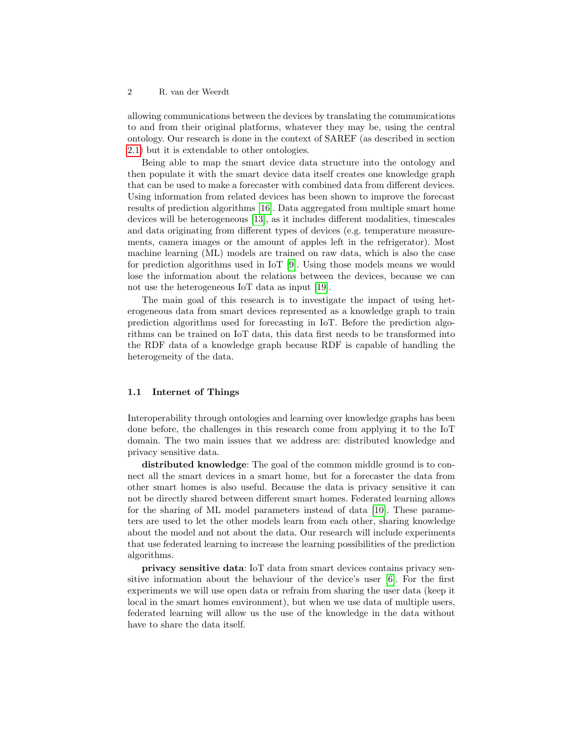allowing communications between the devices by translating the communications to and from their original platforms, whatever they may be, using the central ontology. Our research is done in the context of SAREF (as described in section [2.1\)](#page-2-0) but it is extendable to other ontologies.

Being able to map the smart device data structure into the ontology and then populate it with the smart device data itself creates one knowledge graph that can be used to make a forecaster with combined data from different devices. Using information from related devices has been shown to improve the forecast results of prediction algorithms [\[16\]](#page-9-4). Data aggregated from multiple smart home devices will be heterogeneous [\[13\]](#page-9-5), as it includes different modalities, timescales and data originating from different types of devices (e.g. temperature measurements, camera images or the amount of apples left in the refrigerator). Most machine learning (ML) models are trained on raw data, which is also the case for prediction algorithms used in IoT [\[9\]](#page-9-6). Using those models means we would lose the information about the relations between the devices, because we can not use the heterogeneous IoT data as input [\[19\]](#page-9-7).

The main goal of this research is to investigate the impact of using heterogeneous data from smart devices represented as a knowledge graph to train prediction algorithms used for forecasting in IoT. Before the prediction algorithms can be trained on IoT data, this data first needs to be transformed into the RDF data of a knowledge graph because RDF is capable of handling the heterogeneity of the data.

#### 1.1 Internet of Things

Interoperability through ontologies and learning over knowledge graphs has been done before, the challenges in this research come from applying it to the IoT domain. The two main issues that we address are: distributed knowledge and privacy sensitive data.

distributed knowledge: The goal of the common middle ground is to connect all the smart devices in a smart home, but for a forecaster the data from other smart homes is also useful. Because the data is privacy sensitive it can not be directly shared between different smart homes. Federated learning allows for the sharing of ML model parameters instead of data [\[10\]](#page-9-8). These parameters are used to let the other models learn from each other, sharing knowledge about the model and not about the data. Our research will include experiments that use federated learning to increase the learning possibilities of the prediction algorithms.

privacy sensitive data: IoT data from smart devices contains privacy sensitive information about the behaviour of the device's user [\[6\]](#page-9-1). For the first experiments we will use open data or refrain from sharing the user data (keep it local in the smart homes environment), but when we use data of multiple users, federated learning will allow us the use of the knowledge in the data without have to share the data itself.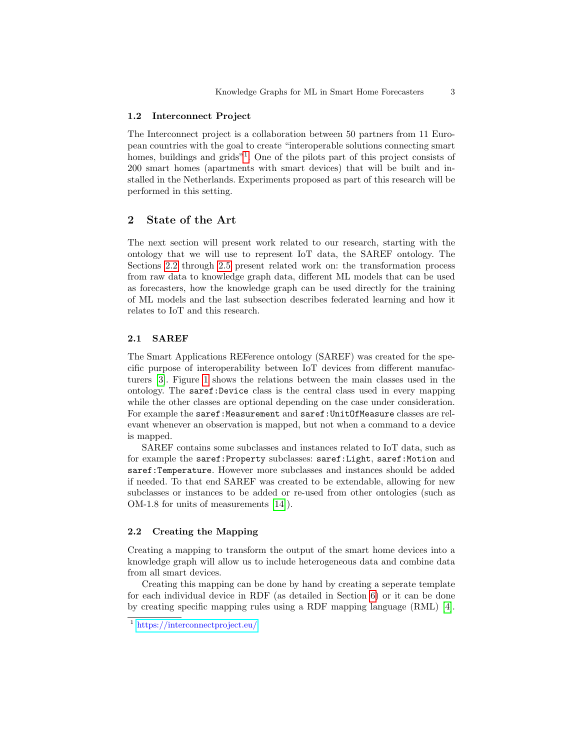#### 1.2 Interconnect Project

The Interconnect project is a collaboration between 50 partners from 11 European countries with the goal to create "interoperable solutions connecting smart homes, buildings and grids"<sup>[1](#page-2-1)</sup>. One of the pilots part of this project consists of 200 smart homes (apartments with smart devices) that will be built and installed in the Netherlands. Experiments proposed as part of this research will be performed in this setting.

## 2 State of the Art

The next section will present work related to our research, starting with the ontology that we will use to represent IoT data, the SAREF ontology. The Sections [2.2](#page-2-2) through [2.5](#page-4-0) present related work on: the transformation process from raw data to knowledge graph data, different ML models that can be used as forecasters, how the knowledge graph can be used directly for the training of ML models and the last subsection describes federated learning and how it relates to IoT and this research.

# <span id="page-2-0"></span>2.1 SAREF

The Smart Applications REFerence ontology (SAREF) was created for the specific purpose of interoperability between IoT devices from different manufacturers [\[3\]](#page-8-1). Figure [1](#page-3-0) shows the relations between the main classes used in the ontology. The saref:Device class is the central class used in every mapping while the other classes are optional depending on the case under consideration. For example the saref:Measurement and saref:UnitOfMeasure classes are relevant whenever an observation is mapped, but not when a command to a device is mapped.

SAREF contains some subclasses and instances related to IoT data, such as for example the saref:Property subclasses: saref:Light, saref:Motion and saref:Temperature. However more subclasses and instances should be added if needed. To that end SAREF was created to be extendable, allowing for new subclasses or instances to be added or re-used from other ontologies (such as OM-1.8 for units of measurements [\[14\]](#page-9-9)).

## <span id="page-2-2"></span>2.2 Creating the Mapping

Creating a mapping to transform the output of the smart home devices into a knowledge graph will allow us to include heterogeneous data and combine data from all smart devices.

Creating this mapping can be done by hand by creating a seperate template for each individual device in RDF (as detailed in Section [6\)](#page-7-0) or it can be done by creating specific mapping rules using a RDF mapping language (RML) [\[4\]](#page-8-2).

<span id="page-2-1"></span><sup>1</sup> <https://interconnectproject.eu/>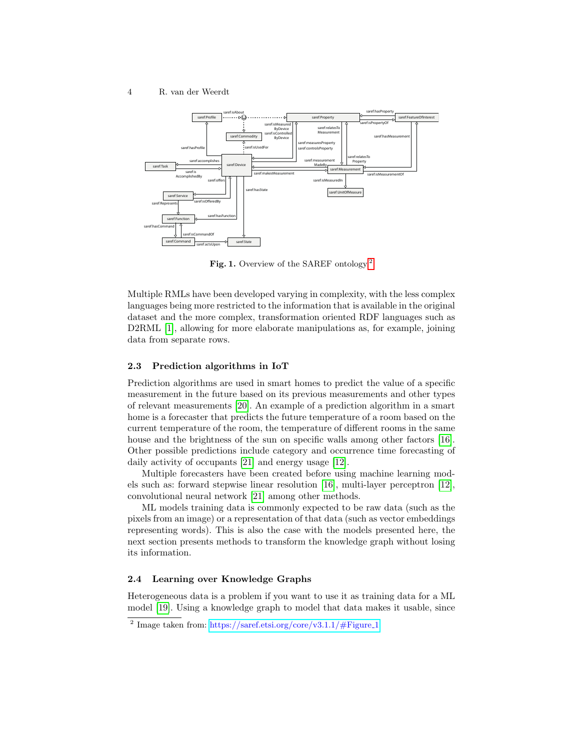

<span id="page-3-0"></span>Fig. 1. Overview of the SAREF ontology.<sup>[2](#page-3-1)</sup>

Multiple RMLs have been developed varying in complexity, with the less complex languages being more restricted to the information that is available in the original dataset and the more complex, transformation oriented RDF languages such as D2RML [\[1\]](#page-8-3), allowing for more elaborate manipulations as, for example, joining data from separate rows.

#### 2.3 Prediction algorithms in IoT

Prediction algorithms are used in smart homes to predict the value of a specific measurement in the future based on its previous measurements and other types of relevant measurements [\[20\]](#page-9-10). An example of a prediction algorithm in a smart home is a forecaster that predicts the future temperature of a room based on the current temperature of the room, the temperature of different rooms in the same house and the brightness of the sun on specific walls among other factors [\[16\]](#page-9-4). Other possible predictions include category and occurrence time forecasting of daily activity of occupants [\[21\]](#page-9-11) and energy usage [\[12\]](#page-9-12).

Multiple forecasters have been created before using machine learning models such as: forward stepwise linear resolution [\[16\]](#page-9-4), multi-layer perceptron [\[12\]](#page-9-12), convolutional neural network [\[21\]](#page-9-11) among other methods.

ML models training data is commonly expected to be raw data (such as the pixels from an image) or a representation of that data (such as vector embeddings representing words). This is also the case with the models presented here, the next section presents methods to transform the knowledge graph without losing its information.

### 2.4 Learning over Knowledge Graphs

Heterogeneous data is a problem if you want to use it as training data for a ML model [\[19\]](#page-9-7). Using a knowledge graph to model that data makes it usable, since

<span id="page-3-1"></span><sup>&</sup>lt;sup>2</sup> Image taken from: [https://saref.etsi.org/core/v3.1.1/#Figure](https://saref.etsi.org/core/v3.1.1/#Figure_1)\_1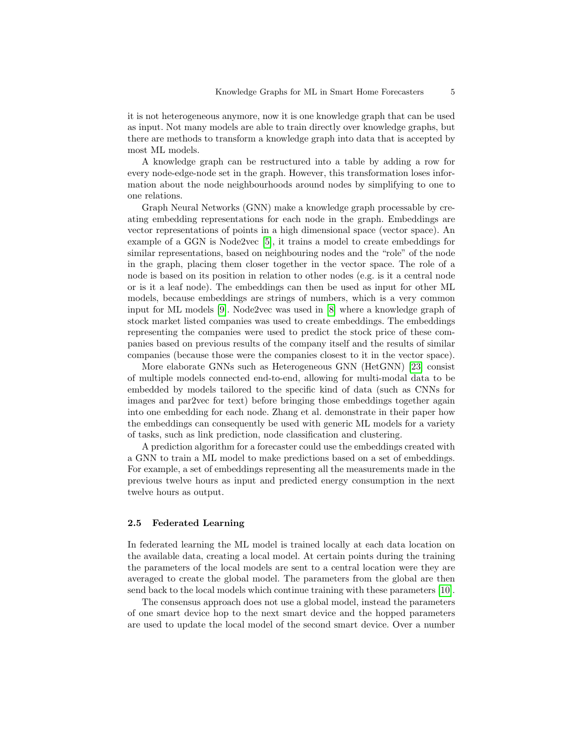it is not heterogeneous anymore, now it is one knowledge graph that can be used as input. Not many models are able to train directly over knowledge graphs, but there are methods to transform a knowledge graph into data that is accepted by most ML models.

A knowledge graph can be restructured into a table by adding a row for every node-edge-node set in the graph. However, this transformation loses information about the node neighbourhoods around nodes by simplifying to one to one relations.

Graph Neural Networks (GNN) make a knowledge graph processable by creating embedding representations for each node in the graph. Embeddings are vector representations of points in a high dimensional space (vector space). An example of a GGN is Node2vec [\[5\]](#page-8-4), it trains a model to create embeddings for similar representations, based on neighbouring nodes and the "role" of the node in the graph, placing them closer together in the vector space. The role of a node is based on its position in relation to other nodes (e.g. is it a central node or is it a leaf node). The embeddings can then be used as input for other ML models, because embeddings are strings of numbers, which is a very common input for ML models [\[9\]](#page-9-6). Node2vec was used in [\[8\]](#page-9-13) where a knowledge graph of stock market listed companies was used to create embeddings. The embeddings representing the companies were used to predict the stock price of these companies based on previous results of the company itself and the results of similar companies (because those were the companies closest to it in the vector space).

More elaborate GNNs such as Heterogeneous GNN (HetGNN) [\[23\]](#page-9-14) consist of multiple models connected end-to-end, allowing for multi-modal data to be embedded by models tailored to the specific kind of data (such as CNNs for images and par2vec for text) before bringing those embeddings together again into one embedding for each node. Zhang et al. demonstrate in their paper how the embeddings can consequently be used with generic ML models for a variety of tasks, such as link prediction, node classification and clustering.

A prediction algorithm for a forecaster could use the embeddings created with a GNN to train a ML model to make predictions based on a set of embeddings. For example, a set of embeddings representing all the measurements made in the previous twelve hours as input and predicted energy consumption in the next twelve hours as output.

### <span id="page-4-0"></span>2.5 Federated Learning

In federated learning the ML model is trained locally at each data location on the available data, creating a local model. At certain points during the training the parameters of the local models are sent to a central location were they are averaged to create the global model. The parameters from the global are then send back to the local models which continue training with these parameters [\[10\]](#page-9-8).

The consensus approach does not use a global model, instead the parameters of one smart device hop to the next smart device and the hopped parameters are used to update the local model of the second smart device. Over a number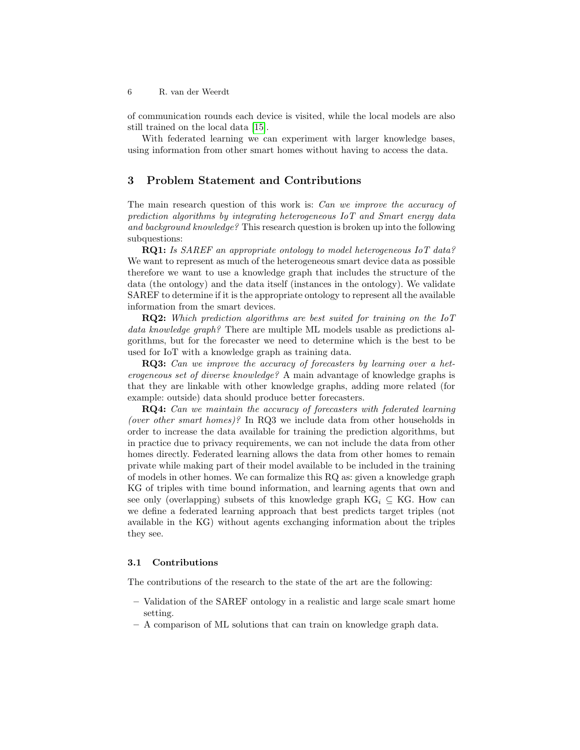of communication rounds each device is visited, while the local models are also still trained on the local data [\[15\]](#page-9-15).

With federated learning we can experiment with larger knowledge bases, using information from other smart homes without having to access the data.

# 3 Problem Statement and Contributions

The main research question of this work is: Can we improve the accuracy of prediction algorithms by integrating heterogeneous IoT and Smart energy data and background knowledge? This research question is broken up into the following subquestions:

RQ1: Is SAREF an appropriate ontology to model heterogeneous IoT data? We want to represent as much of the heterogeneous smart device data as possible therefore we want to use a knowledge graph that includes the structure of the data (the ontology) and the data itself (instances in the ontology). We validate SAREF to determine if it is the appropriate ontology to represent all the available information from the smart devices.

RQ2: Which prediction algorithms are best suited for training on the IoT data knowledge graph? There are multiple ML models usable as predictions algorithms, but for the forecaster we need to determine which is the best to be used for IoT with a knowledge graph as training data.

RQ3: Can we improve the accuracy of forecasters by learning over a heterogeneous set of diverse knowledge? A main advantage of knowledge graphs is that they are linkable with other knowledge graphs, adding more related (for example: outside) data should produce better forecasters.

RQ4: Can we maintain the accuracy of forecasters with federated learning (over other smart homes)? In RQ3 we include data from other households in order to increase the data available for training the prediction algorithms, but in practice due to privacy requirements, we can not include the data from other homes directly. Federated learning allows the data from other homes to remain private while making part of their model available to be included in the training of models in other homes. We can formalize this RQ as: given a knowledge graph KG of triples with time bound information, and learning agents that own and see only (overlapping) subsets of this knowledge graph  $KG_i \subseteq KG$ . How can we define a federated learning approach that best predicts target triples (not available in the KG) without agents exchanging information about the triples they see.

#### 3.1 Contributions

The contributions of the research to the state of the art are the following:

- Validation of the SAREF ontology in a realistic and large scale smart home setting.
- A comparison of ML solutions that can train on knowledge graph data.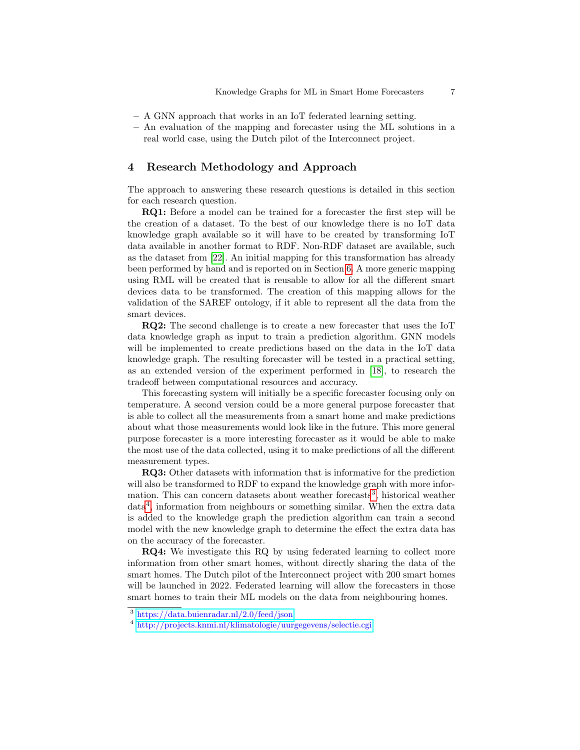- A GNN approach that works in an IoT federated learning setting.
- An evaluation of the mapping and forecaster using the ML solutions in a real world case, using the Dutch pilot of the Interconnect project.

# 4 Research Methodology and Approach

The approach to answering these research questions is detailed in this section for each research question.

RQ1: Before a model can be trained for a forecaster the first step will be the creation of a dataset. To the best of our knowledge there is no IoT data knowledge graph available so it will have to be created by transforming IoT data available in another format to RDF. Non-RDF dataset are available, such as the dataset from [\[22\]](#page-9-16). An initial mapping for this transformation has already been performed by hand and is reported on in Section [6.](#page-7-0) A more generic mapping using RML will be created that is reusable to allow for all the different smart devices data to be transformed. The creation of this mapping allows for the validation of the SAREF ontology, if it able to represent all the data from the smart devices.

RQ2: The second challenge is to create a new forecaster that uses the IoT data knowledge graph as input to train a prediction algorithm. GNN models will be implemented to create predictions based on the data in the IoT data knowledge graph. The resulting forecaster will be tested in a practical setting, as an extended version of the experiment performed in [\[18\]](#page-9-17), to research the tradeoff between computational resources and accuracy.

This forecasting system will initially be a specific forecaster focusing only on temperature. A second version could be a more general purpose forecaster that is able to collect all the measurements from a smart home and make predictions about what those measurements would look like in the future. This more general purpose forecaster is a more interesting forecaster as it would be able to make the most use of the data collected, using it to make predictions of all the different measurement types.

RQ3: Other datasets with information that is informative for the prediction will also be transformed to RDF to expand the knowledge graph with more infor-mation. This can concern datasets about weather forecasts<sup>[3](#page-6-0)</sup>, historical weather data[4](#page-6-1) , information from neighbours or something similar. When the extra data is added to the knowledge graph the prediction algorithm can train a second model with the new knowledge graph to determine the effect the extra data has on the accuracy of the forecaster.

RQ4: We investigate this RQ by using federated learning to collect more information from other smart homes, without directly sharing the data of the smart homes. The Dutch pilot of the Interconnect project with 200 smart homes will be launched in 2022. Federated learning will allow the forecasters in those smart homes to train their ML models on the data from neighbouring homes.

<span id="page-6-0"></span><sup>3</sup> <https://data.buienradar.nl/2.0/feed/json>

<span id="page-6-1"></span><sup>4</sup> <http://projects.knmi.nl/klimatologie/uurgegevens/selectie.cgi>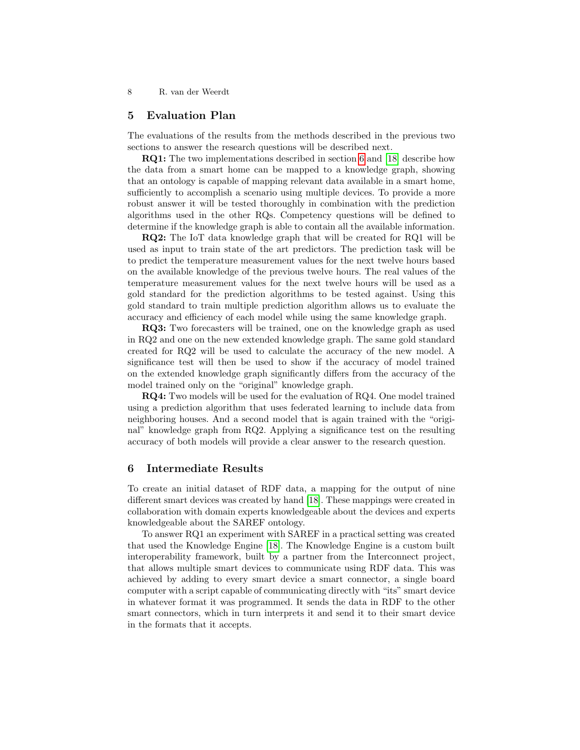# 5 Evaluation Plan

The evaluations of the results from the methods described in the previous two sections to answer the research questions will be described next.

RQ1: The two implementations described in section [6](#page-7-0) and [\[18\]](#page-9-17) describe how the data from a smart home can be mapped to a knowledge graph, showing that an ontology is capable of mapping relevant data available in a smart home, sufficiently to accomplish a scenario using multiple devices. To provide a more robust answer it will be tested thoroughly in combination with the prediction algorithms used in the other RQs. Competency questions will be defined to determine if the knowledge graph is able to contain all the available information.

RQ2: The IoT data knowledge graph that will be created for RQ1 will be used as input to train state of the art predictors. The prediction task will be to predict the temperature measurement values for the next twelve hours based on the available knowledge of the previous twelve hours. The real values of the temperature measurement values for the next twelve hours will be used as a gold standard for the prediction algorithms to be tested against. Using this gold standard to train multiple prediction algorithm allows us to evaluate the accuracy and efficiency of each model while using the same knowledge graph.

RQ3: Two forecasters will be trained, one on the knowledge graph as used in RQ2 and one on the new extended knowledge graph. The same gold standard created for RQ2 will be used to calculate the accuracy of the new model. A significance test will then be used to show if the accuracy of model trained on the extended knowledge graph significantly differs from the accuracy of the model trained only on the "original" knowledge graph.

RQ4: Two models will be used for the evaluation of RQ4. One model trained using a prediction algorithm that uses federated learning to include data from neighboring houses. And a second model that is again trained with the "original" knowledge graph from RQ2. Applying a significance test on the resulting accuracy of both models will provide a clear answer to the research question.

## <span id="page-7-0"></span>6 Intermediate Results

To create an initial dataset of RDF data, a mapping for the output of nine different smart devices was created by hand [\[18\]](#page-9-17). These mappings were created in collaboration with domain experts knowledgeable about the devices and experts knowledgeable about the SAREF ontology.

To answer RQ1 an experiment with SAREF in a practical setting was created that used the Knowledge Engine [\[18\]](#page-9-17). The Knowledge Engine is a custom built interoperability framework, built by a partner from the Interconnect project, that allows multiple smart devices to communicate using RDF data. This was achieved by adding to every smart device a smart connector, a single board computer with a script capable of communicating directly with "its" smart device in whatever format it was programmed. It sends the data in RDF to the other smart connectors, which in turn interprets it and send it to their smart device in the formats that it accepts.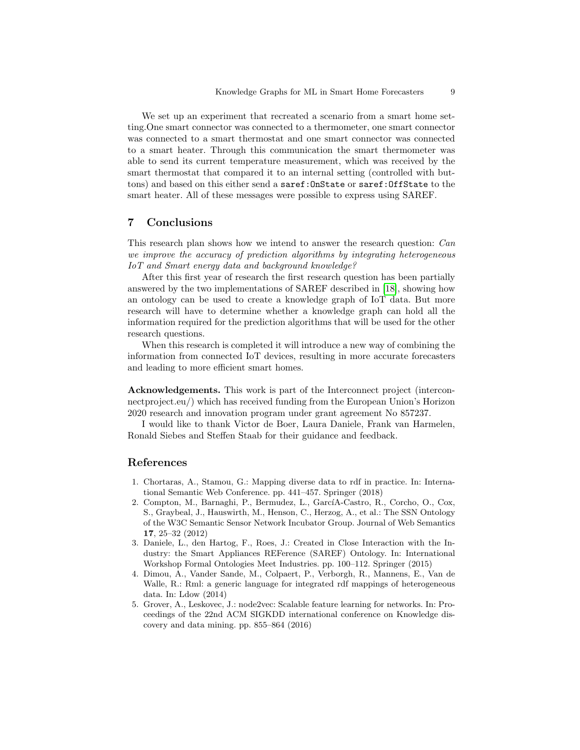We set up an experiment that recreated a scenario from a smart home setting.One smart connector was connected to a thermometer, one smart connector was connected to a smart thermostat and one smart connector was connected to a smart heater. Through this communication the smart thermometer was able to send its current temperature measurement, which was received by the smart thermostat that compared it to an internal setting (controlled with buttons) and based on this either send a saref:OnState or saref:OffState to the smart heater. All of these messages were possible to express using SAREF.

## 7 Conclusions

This research plan shows how we intend to answer the research question: Can we improve the accuracy of prediction algorithms by integrating heterogeneous IoT and Smart energy data and background knowledge?

After this first year of research the first research question has been partially answered by the two implementations of SAREF described in [\[18\]](#page-9-17), showing how an ontology can be used to create a knowledge graph of IoT data. But more research will have to determine whether a knowledge graph can hold all the information required for the prediction algorithms that will be used for the other research questions.

When this research is completed it will introduce a new way of combining the information from connected IoT devices, resulting in more accurate forecasters and leading to more efficient smart homes.

Acknowledgements. This work is part of the Interconnect project (interconnectproject.eu/) which has received funding from the European Union's Horizon 2020 research and innovation program under grant agreement No 857237.

I would like to thank Victor de Boer, Laura Daniele, Frank van Harmelen, Ronald Siebes and Steffen Staab for their guidance and feedback.

# References

- <span id="page-8-3"></span>1. Chortaras, A., Stamou, G.: Mapping diverse data to rdf in practice. In: International Semantic Web Conference. pp. 441–457. Springer (2018)
- <span id="page-8-0"></span>2. Compton, M., Barnaghi, P., Bermudez, L., GarcíA-Castro, R., Corcho, O., Cox, S., Graybeal, J., Hauswirth, M., Henson, C., Herzog, A., et al.: The SSN Ontology of the W3C Semantic Sensor Network Incubator Group. Journal of Web Semantics 17, 25–32 (2012)
- <span id="page-8-1"></span>3. Daniele, L., den Hartog, F., Roes, J.: Created in Close Interaction with the Industry: the Smart Appliances REFerence (SAREF) Ontology. In: International Workshop Formal Ontologies Meet Industries. pp. 100–112. Springer (2015)
- <span id="page-8-2"></span>4. Dimou, A., Vander Sande, M., Colpaert, P., Verborgh, R., Mannens, E., Van de Walle, R.: Rml: a generic language for integrated rdf mappings of heterogeneous data. In: Ldow (2014)
- <span id="page-8-4"></span>5. Grover, A., Leskovec, J.: node2vec: Scalable feature learning for networks. In: Proceedings of the 22nd ACM SIGKDD international conference on Knowledge discovery and data mining. pp. 855–864 (2016)